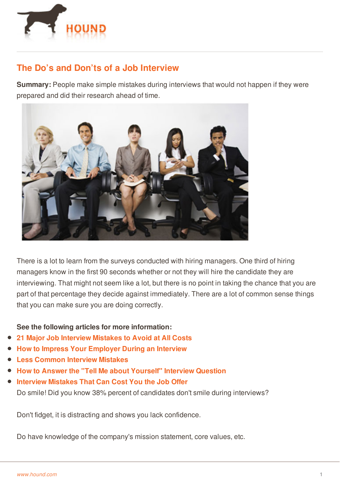

## **The Do's and Don'ts of a Job Interview**

**Summary:** People make simple mistakes during interviews that would not happen if they were prepared and did their research ahead of time.



There is a lot to learn from the surveys conducted with hiring managers. One third of hiring managers know in the first 90 seconds whether or not they will hire the candidate they are interviewing. That might not seem like a lot, but there is no point in taking the chance that you are part of that percentage they decide against immediately. There are a lot of common sense things that you can make sure you are doing correctly.

## **See the following articles for more information:**

- **21 Major Job [Interview](http://www.gig.com/advice/career/31876/21-major-job-interview-mistakes-to-avoid-at-all-costs) Mistakes to Avoid at All Costs**
- **How to Impress Your [Employer](http://www.hound.com/article/1090098/How-to-Impress-Your-Employer-During-An-Interview/) During an Interview**
- **Less [Common](http://www.gig.com/blog/2013/12/18/less-common-interview-mistakes/) Interview Mistakes**
- **How to Answer the "Tell Me about [Yourself"](http://www.gig.com/advice/career/31763/how-to-answer-the-tell-me-about-yourself-interview-question) Interview Question**
- **[Interview](http://www.gig.com/blog/2014/10/23/interview-mistakes-that-can-cost-you-the-job-offer/) Mistakes That Can Cost You the Job Offer** Do smile! Did you know 38% percent of candidates don't smile during interviews?

Don't [fidget,](http://www.hound.com/) it is distracting and shows you lack confidence.

Do have knowledge of the company's mission statement, core values, etc.